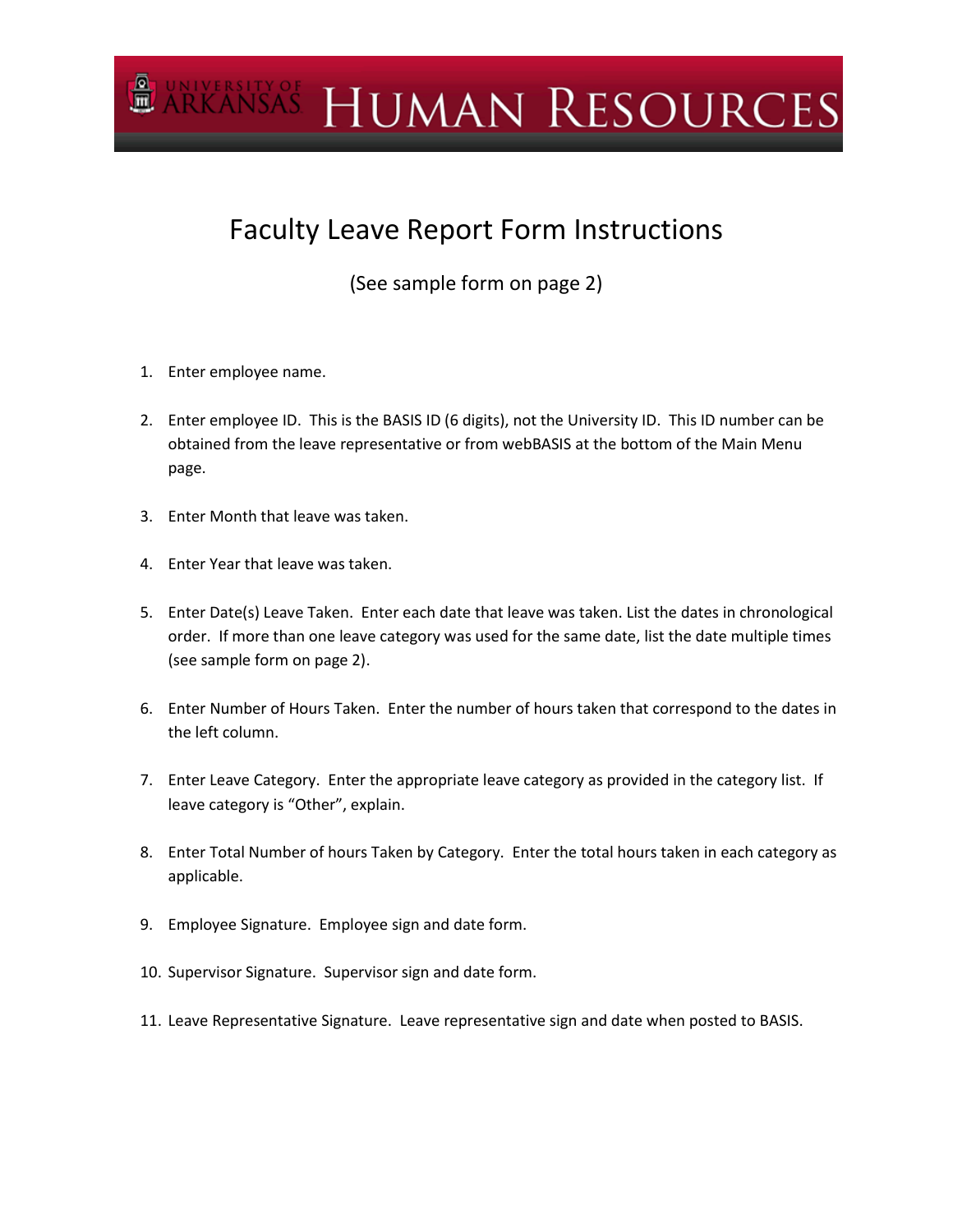# **ARKANSAS HUMAN RESOURCES**

## Faculty Leave Report Form Instructions

(See sample form on page 2)

- 1. Enter employee name.
- 2. Enter employee ID. This is the BASIS ID (6 digits), not the University ID. This ID number can be obtained from the leave representative or from webBASIS at the bottom of the Main Menu page.
- 3. Enter Month that leave was taken.
- 4. Enter Year that leave was taken.
- 5. Enter Date(s) Leave Taken. Enter each date that leave was taken. List the dates in chronological order. If more than one leave category was used for the same date, list the date multiple times (see sample form on page 2).
- 6. Enter Number of Hours Taken. Enter the number of hours taken that correspond to the dates in the left column.
- 7. Enter Leave Category. Enter the appropriate leave category as provided in the category list. If leave category is "Other", explain.
- 8. Enter Total Number of hours Taken by Category. Enter the total hours taken in each category as applicable.
- 9. Employee Signature. Employee sign and date form.
- 10. Supervisor Signature. Supervisor sign and date form.
- 11. Leave Representative Signature. Leave representative sign and date when posted to BASIS.